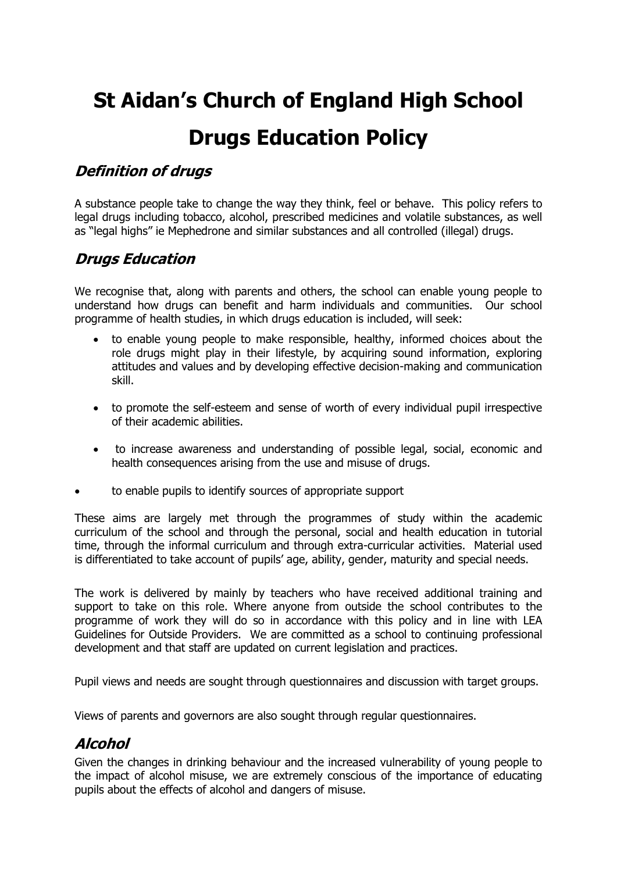# **St Aidan's Church of England High School Drugs Education Policy**

## **Definition of drugs**

A substance people take to change the way they think, feel or behave. This policy refers to legal drugs including tobacco, alcohol, prescribed medicines and volatile substances, as well as "legal highs" ie Mephedrone and similar substances and all controlled (illegal) drugs.

## **Drugs Education**

We recognise that, along with parents and others, the school can enable young people to understand how drugs can benefit and harm individuals and communities. Our school programme of health studies, in which drugs education is included, will seek:

- to enable young people to make responsible, healthy, informed choices about the role drugs might play in their lifestyle, by acquiring sound information, exploring attitudes and values and by developing effective decision-making and communication skill.
- to promote the self-esteem and sense of worth of every individual pupil irrespective of their academic abilities.
- to increase awareness and understanding of possible legal, social, economic and health consequences arising from the use and misuse of drugs.
- to enable pupils to identify sources of appropriate support

These aims are largely met through the programmes of study within the academic curriculum of the school and through the personal, social and health education in tutorial time, through the informal curriculum and through extra-curricular activities. Material used is differentiated to take account of pupils' age, ability, gender, maturity and special needs.

The work is delivered by mainly by teachers who have received additional training and support to take on this role. Where anyone from outside the school contributes to the programme of work they will do so in accordance with this policy and in line with LEA Guidelines for Outside Providers. We are committed as a school to continuing professional development and that staff are updated on current legislation and practices.

Pupil views and needs are sought through questionnaires and discussion with target groups.

Views of parents and governors are also sought through regular questionnaires.

# **Alcohol**

Given the changes in drinking behaviour and the increased vulnerability of young people to the impact of alcohol misuse, we are extremely conscious of the importance of educating pupils about the effects of alcohol and dangers of misuse.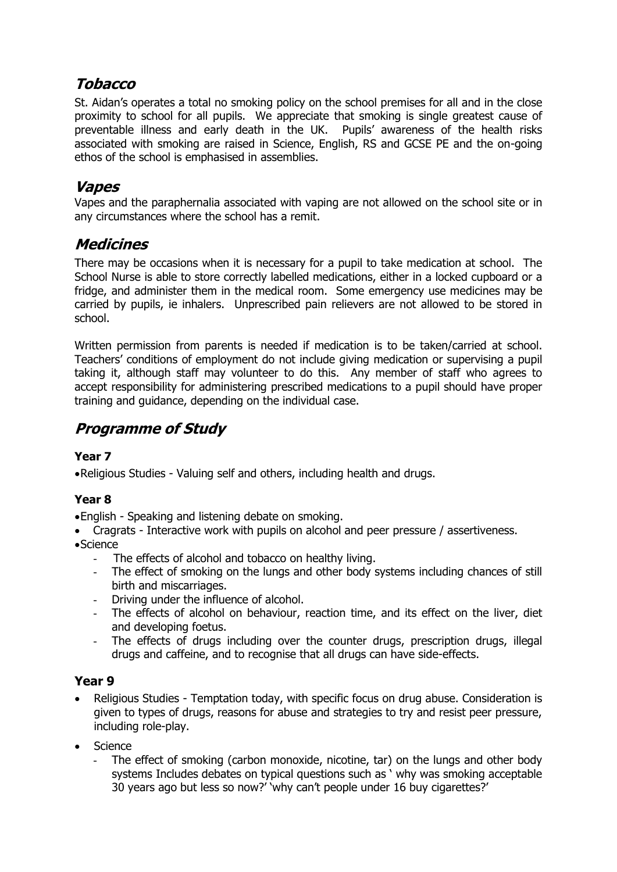# **Tobacco**

St. Aidan's operates a total no smoking policy on the school premises for all and in the close proximity to school for all pupils. We appreciate that smoking is single greatest cause of preventable illness and early death in the UK. Pupils' awareness of the health risks associated with smoking are raised in Science, English, RS and GCSE PE and the on-going ethos of the school is emphasised in assemblies.

## **Vapes**

Vapes and the paraphernalia associated with vaping are not allowed on the school site or in any circumstances where the school has a remit.

## **Medicines**

There may be occasions when it is necessary for a pupil to take medication at school. The School Nurse is able to store correctly labelled medications, either in a locked cupboard or a fridge, and administer them in the medical room. Some emergency use medicines may be carried by pupils, ie inhalers. Unprescribed pain relievers are not allowed to be stored in school.

Written permission from parents is needed if medication is to be taken/carried at school. Teachers' conditions of employment do not include giving medication or supervising a pupil taking it, although staff may volunteer to do this. Any member of staff who agrees to accept responsibility for administering prescribed medications to a pupil should have proper training and guidance, depending on the individual case.

# **Programme of Study**

## **Year 7**

Religious Studies - Valuing self and others, including health and drugs.

## **Year 8**

English - Speaking and listening debate on smoking.

- Cragrats Interactive work with pupils on alcohol and peer pressure / assertiveness. Science
	- The effects of alcohol and tobacco on healthy living.
	- The effect of smoking on the lungs and other body systems including chances of still birth and miscarriages.
	- Driving under the influence of alcohol.
	- The effects of alcohol on behaviour, reaction time, and its effect on the liver, diet and developing foetus.
	- The effects of drugs including over the counter drugs, prescription drugs, illegal drugs and caffeine, and to recognise that all drugs can have side-effects.

## **Year 9**

- Religious Studies Temptation today, with specific focus on drug abuse. Consideration is given to types of drugs, reasons for abuse and strategies to try and resist peer pressure, including role-play.
- **Science** 
	- The effect of smoking (carbon monoxide, nicotine, tar) on the lungs and other body systems Includes debates on typical questions such as ' why was smoking acceptable 30 years ago but less so now?' 'why can't people under 16 buy cigarettes?'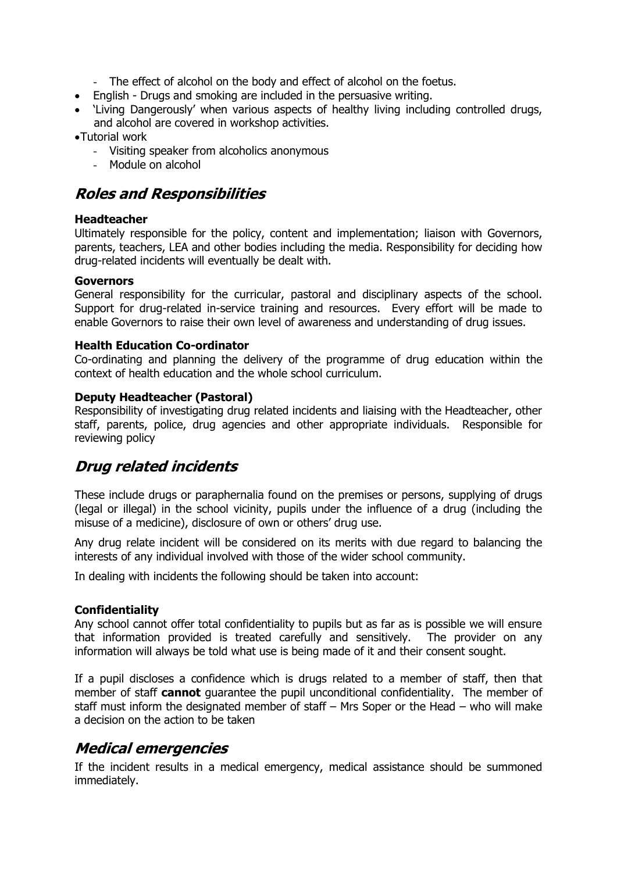- The effect of alcohol on the body and effect of alcohol on the foetus.
- English Drugs and smoking are included in the persuasive writing.
- 'Living Dangerously' when various aspects of healthy living including controlled drugs, and alcohol are covered in workshop activities.

Tutorial work

- Visiting speaker from alcoholics anonymous
- Module on alcohol

# **Roles and Responsibilities**

#### **Headteacher**

Ultimately responsible for the policy, content and implementation; liaison with Governors, parents, teachers, LEA and other bodies including the media. Responsibility for deciding how drug-related incidents will eventually be dealt with.

#### **Governors**

General responsibility for the curricular, pastoral and disciplinary aspects of the school. Support for drug-related in-service training and resources. Every effort will be made to enable Governors to raise their own level of awareness and understanding of drug issues.

#### **Health Education Co-ordinator**

Co-ordinating and planning the delivery of the programme of drug education within the context of health education and the whole school curriculum.

#### **Deputy Headteacher (Pastoral)**

Responsibility of investigating drug related incidents and liaising with the Headteacher, other staff, parents, police, drug agencies and other appropriate individuals. Responsible for reviewing policy

# **Drug related incidents**

These include drugs or paraphernalia found on the premises or persons, supplying of drugs (legal or illegal) in the school vicinity, pupils under the influence of a drug (including the misuse of a medicine), disclosure of own or others' drug use.

Any drug relate incident will be considered on its merits with due regard to balancing the interests of any individual involved with those of the wider school community.

In dealing with incidents the following should be taken into account:

#### **Confidentiality**

Any school cannot offer total confidentiality to pupils but as far as is possible we will ensure that information provided is treated carefully and sensitively. The provider on any information will always be told what use is being made of it and their consent sought.

If a pupil discloses a confidence which is drugs related to a member of staff, then that member of staff **cannot** guarantee the pupil unconditional confidentiality. The member of staff must inform the designated member of staff – Mrs Soper or the Head – who will make a decision on the action to be taken

## **Medical emergencies**

If the incident results in a medical emergency, medical assistance should be summoned immediately.